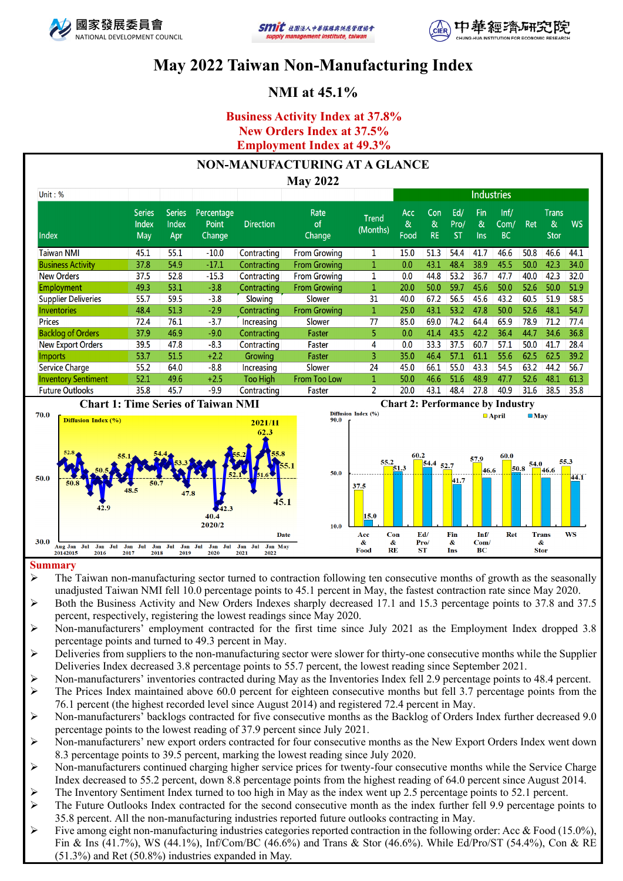





# **May 2022 Taiwan Non-Manufacturing Index**

## **NMI at 45.1%**

**Business Activity Index at 37.8% New Orders Index at 37.5% Employment Index at 49.3%**



#### **Summary**

 $\triangleright$  The Taiwan non-manufacturing sector turned to contraction following ten consecutive months of growth as the seasonally unadjusted Taiwan NMI fell 10.0 percentage points to 45.1 percent in May, the fastest contraction rate since May 2020.

- $\triangleright$  Both the Business Activity and New Orders Indexes sharply decreased 17.1 and 15.3 percentage points to 37.8 and 37.5 percent, respectively, registering the lowest readings since May 2020.
- Ø Non-manufacturers' employment contracted for the first time since July 2021 as the Employment Index dropped 3.8 percentage points and turned to 49.3 percent in May.
- $\triangleright$  Deliveries from suppliers to the non-manufacturing sector were slower for thirty-one consecutive months while the Supplier Deliveries Index decreased 3.8 percentage points to 55.7 percent, the lowest reading since September 2021.
- Ø Non-manufacturers' inventories contracted during May as the Inventories Index fell 2.9 percentage points to 48.4 percent.
- $\triangleright$  The Prices Index maintained above 60.0 percent for eighteen consecutive months but fell 3.7 percentage points from the 76.1 percent (the highest recorded level since August 2014) and registered 72.4 percent in May.
- Ø Non-manufacturers' backlogs contracted for five consecutive months as the Backlog of Orders Index further decreased 9.0 percentage points to the lowest reading of 37.9 percent since July 2021.
- $\triangleright$  Non-manufacturers' new export orders contracted for four consecutive months as the New Export Orders Index went down 8.3 percentage points to 39.5 percent, marking the lowest reading since July 2020.
- $\triangleright$  Non-manufacturers continued charging higher service prices for twenty-four consecutive months while the Service Charge Index decreased to 55.2 percent, down 8.8 percentage points from the highest reading of 64.0 percent since August 2014.
- $\triangleright$  The Inventory Sentiment Index turned to too high in May as the index went up 2.5 percentage points to 52.1 percent.
- $\triangleright$  The Future Outlooks Index contracted for the second consecutive month as the index further fell 9.9 percentage points to 35.8 percent. All the non-manufacturing industries reported future outlooks contracting in May.
- $\triangleright$  Five among eight non-manufacturing industries categories reported contraction in the following order: Acc & Food (15.0%), Fin & Ins (41.7%), WS (44.1%), Inf/Com/BC (46.6%) and Trans & Stor (46.6%). While Ed/Pro/ST (54.4%), Con & RE (51.3%) and Ret (50.8%) industries expanded in May.